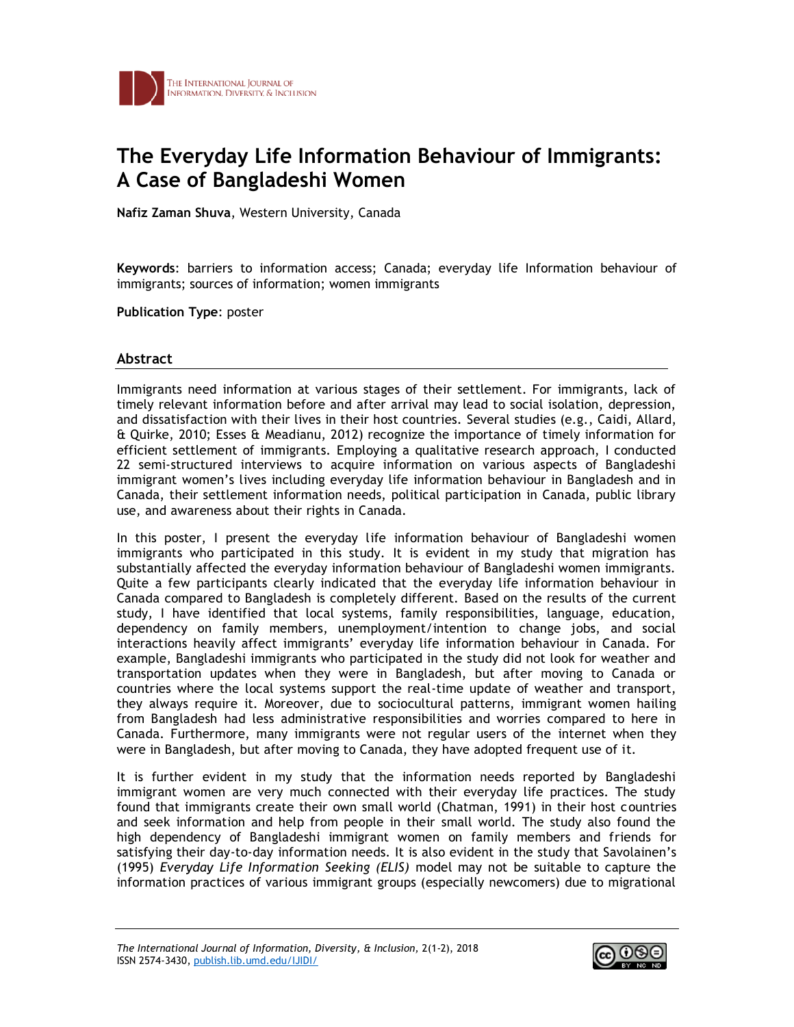

## **The Everyday Life Information Behaviour of Immigrants: A Case of Bangladeshi Women**

**Nafiz Zaman Shuva**, Western University, Canada

**Keywords**: barriers to information access; Canada; everyday life Information behaviour of immigrants; sources of information; women immigrants

**Publication Type**: poster

## **Abstract**

Immigrants need information at various stages of their settlement. For immigrants, lack of timely relevant information before and after arrival may lead to social isolation, depression, and dissatisfaction with their lives in their host countries. Several studies (e.g., Caidi, Allard, & Quirke, 2010; Esses & Meadianu, 2012) recognize the importance of timely information for efficient settlement of immigrants. Employing a qualitative research approach, I conducted 22 semi-structured interviews to acquire information on various aspects of Bangladeshi immigrant women's lives including everyday life information behaviour in Bangladesh and in Canada, their settlement information needs, political participation in Canada, public library use, and awareness about their rights in Canada.

In this poster, I present the everyday life information behaviour of Bangladeshi women immigrants who participated in this study. It is evident in my study that migration has substantially affected the everyday information behaviour of Bangladeshi women immigrants. Quite a few participants clearly indicated that the everyday life information behaviour in Canada compared to Bangladesh is completely different. Based on the results of the current study, I have identified that local systems, family responsibilities, language, education, dependency on family members, unemployment/intention to change jobs, and social interactions heavily affect immigrants' everyday life information behaviour in Canada. For example, Bangladeshi immigrants who participated in the study did not look for weather and transportation updates when they were in Bangladesh, but after moving to Canada or countries where the local systems support the real-time update of weather and transport, they always require it. Moreover, due to sociocultural patterns, immigrant women hailing from Bangladesh had less administrative responsibilities and worries compared to here in Canada. Furthermore, many immigrants were not regular users of the internet when they were in Bangladesh, but after moving to Canada, they have adopted frequent use of it.

It is further evident in my study that the information needs reported by Bangladeshi immigrant women are very much connected with their everyday life practices. The study found that immigrants create their own small world (Chatman, 1991) in their host countries and seek information and help from people in their small world. The study also found the high dependency of Bangladeshi immigrant women on family members and friends for satisfying their day-to-day information needs. It is also evident in the study that Savolainen's (1995) *Everyday Life Information Seeking (ELIS)* model may not be suitable to capture the information practices of various immigrant groups (especially newcomers) due to migrational

*The International Journal of Information, Diversity, & Inclusion,* 2(1-2), 2018 ISSN 2574-3430, [publish.lib.umd.edu/IJIDI/](http://publish.lib.umd.edu/IJIDI/,)